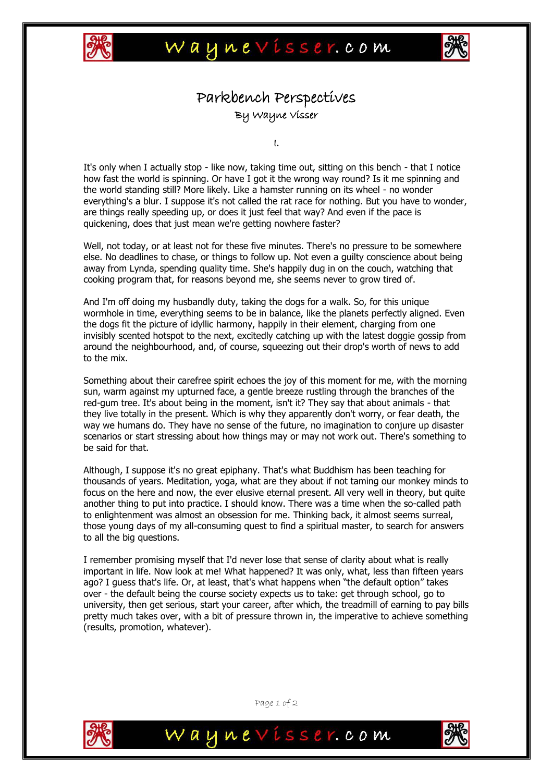



## Parkbench Perspectives By Wayne Visser

I.

It's only when I actually stop - like now, taking time out, sitting on this bench - that I notice how fast the world is spinning. Or have I got it the wrong way round? Is it me spinning and the world standing still? More likely. Like a hamster running on its wheel - no wonder everything's a blur. I suppose it's not called the rat race for nothing. But you have to wonder, are things really speeding up, or does it just feel that way? And even if the pace is quickening, does that just mean we're getting nowhere faster?

Well, not today, or at least not for these five minutes. There's no pressure to be somewhere else. No deadlines to chase, or things to follow up. Not even a guilty conscience about being away from Lynda, spending quality time. She's happily dug in on the couch, watching that cooking program that, for reasons beyond me, she seems never to grow tired of.

And I'm off doing my husbandly duty, taking the dogs for a walk. So, for this unique wormhole in time, everything seems to be in balance, like the planets perfectly aligned. Even the dogs fit the picture of idyllic harmony, happily in their element, charging from one invisibly scented hotspot to the next, excitedly catching up with the latest doggie gossip from around the neighbourhood, and, of course, squeezing out their drop's worth of news to add to the mix.

Something about their carefree spirit echoes the joy of this moment for me, with the morning sun, warm against my upturned face, a gentle breeze rustling through the branches of the red-gum tree. It's about being in the moment, isn't it? They say that about animals - that they live totally in the present. Which is why they apparently don't worry, or fear death, the way we humans do. They have no sense of the future, no imagination to conjure up disaster scenarios or start stressing about how things may or may not work out. There's something to be said for that.

Although, I suppose it's no great epiphany. That's what Buddhism has been teaching for thousands of years. Meditation, yoga, what are they about if not taming our monkey minds to focus on the here and now, the ever elusive eternal present. All very well in theory, but quite another thing to put into practice. I should know. There was a time when the so-called path to enlightenment was almost an obsession for me. Thinking back, it almost seems surreal, those young days of my all-consuming quest to find a spiritual master, to search for answers to all the big questions.

I remember promising myself that I'd never lose that sense of clarity about what is really important in life. Now look at me! What happened? It was only, what, less than fifteen years ago? I guess that's life. Or, at least, that's what happens when "the default option" takes over - the default being the course society expects us to take: get through school, go to university, then get serious, start your career, after which, the treadmill of earning to pay bills pretty much takes over, with a bit of pressure thrown in, the imperative to achieve something (results, promotion, whatever).



Page 1 of 2